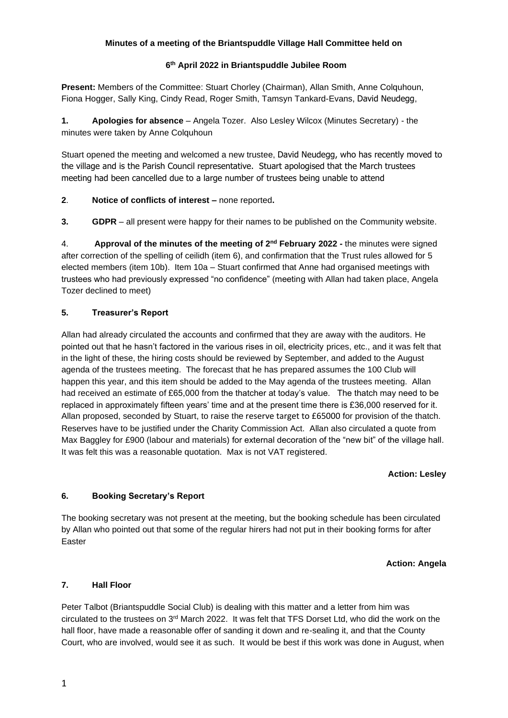# **Minutes of a meeting of the Briantspuddle Village Hall Committee held on**

# **6 th April 2022 in Briantspuddle Jubilee Room**

**Present:** Members of the Committee: Stuart Chorley (Chairman), Allan Smith, Anne Colquhoun, Fiona Hogger, Sally King, Cindy Read, Roger Smith, Tamsyn Tankard-Evans, David Neudegg,

**1. Apologies for absence** – Angela Tozer. Also Lesley Wilcox (Minutes Secretary) - the minutes were taken by Anne Colquhoun

Stuart opened the meeting and welcomed a new trustee, David Neudegg, who has recently moved to the village and is the Parish Council representative. Stuart apologised that the March trustees meeting had been cancelled due to a large number of trustees being unable to attend

# **2**. **Notice of conflicts of interest –** none reported**.**

**3. GDPR** – all present were happy for their names to be published on the Community website.

4. **Approval of the minutes of the meeting of 2<sup>nd</sup> February 2022 - the minutes were signed** after correction of the spelling of ceilidh (item 6), and confirmation that the Trust rules allowed for 5 elected members (item 10b). Item 10a – Stuart confirmed that Anne had organised meetings with trustees who had previously expressed "no confidence" (meeting with Allan had taken place, Angela Tozer declined to meet)

# **5. Treasurer's Report**

Allan had already circulated the accounts and confirmed that they are away with the auditors. He pointed out that he hasn't factored in the various rises in oil, electricity prices, etc., and it was felt that in the light of these, the hiring costs should be reviewed by September, and added to the August agenda of the trustees meeting. The forecast that he has prepared assumes the 100 Club will happen this year, and this item should be added to the May agenda of the trustees meeting. Allan had received an estimate of £65,000 from the thatcher at today's value. The thatch may need to be replaced in approximately fifteen years' time and at the present time there is £36,000 reserved for it. Allan proposed, seconded by Stuart, to raise the reserve target to £65000 for provision of the thatch. Reserves have to be justified under the Charity Commission Act. Allan also circulated a quote from Max Baggley for £900 (labour and materials) for external decoration of the "new bit" of the village hall. It was felt this was a reasonable quotation. Max is not VAT registered.

#### **Action: Lesley**

### **6. Booking Secretary's Report**

The booking secretary was not present at the meeting, but the booking schedule has been circulated by Allan who pointed out that some of the regular hirers had not put in their booking forms for after Easter

### **Action: Angela**

### **7. Hall Floor**

Peter Talbot (Briantspuddle Social Club) is dealing with this matter and a letter from him was circulated to the trustees on  $3<sup>rd</sup>$  March 2022. It was felt that TFS Dorset Ltd, who did the work on the hall floor, have made a reasonable offer of sanding it down and re-sealing it, and that the County Court, who are involved, would see it as such. It would be best if this work was done in August, when